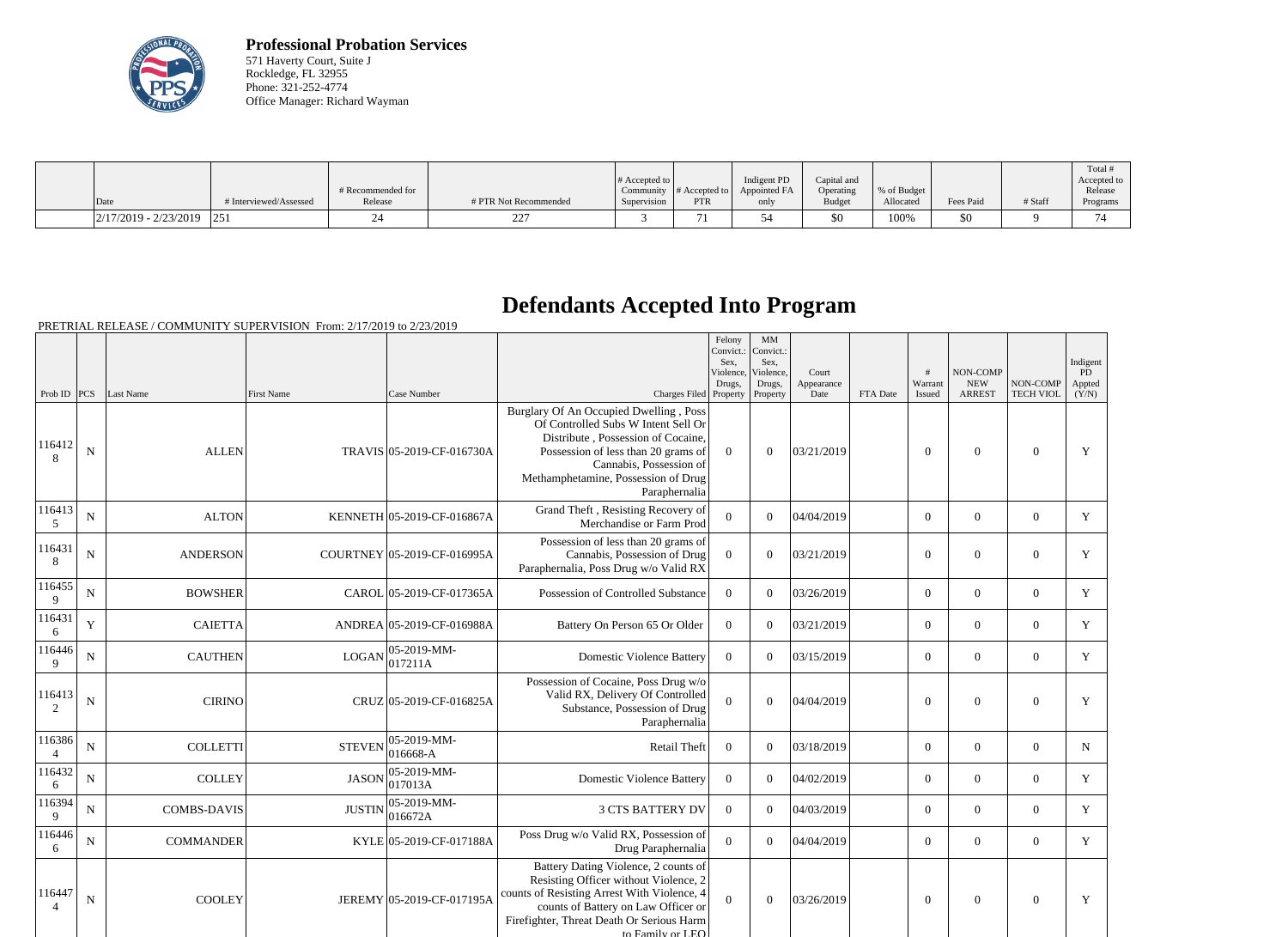

**Professional Probation Services** 571 Haverty Court, Suite J Rockledge, FL 32955 Phone: 321-252-4774 Office Manager: Richard Wayman

|                                                                                       |                        |                   |                       |                  |               |              |               |             |           |         | Total i     |
|---------------------------------------------------------------------------------------|------------------------|-------------------|-----------------------|------------------|---------------|--------------|---------------|-------------|-----------|---------|-------------|
|                                                                                       |                        |                   |                       | $\#$ Accepted to |               | Indigent PD  | Capital and   |             |           |         | Accepted to |
|                                                                                       |                        | # Recommended for |                       | Community        | # Accepted to | Appointed FA | Operating     | % of Budget |           |         | Release     |
| Date                                                                                  | # Interviewed/Assessed | Release           | # PTR Not Recommended | Supervision      | <b>PTR</b>    | only         | <b>Budget</b> | Allocated   | Fees Paid | # Staff | Programs    |
| $\left  \frac{2}{17/2019} - \frac{2}{23/2019} \right  \left  \frac{251}{251} \right $ |                        |                   | nn'<br>-              |                  |               |              | \$0           | 100%        | 50        |         | 74          |

## **Defendants Accepted Into Program**

| Prob ID $ PCS $          |             | Last Name          | <b>First Name</b> | Case Number                 | Charges Filed Property                                                                                                                                                                                                                        | Felony<br>Convict.:<br>Sex.<br>Violence<br>Drugs. | MM<br>Convict.:<br>Sex,<br>Violence,<br>Drugs,<br>Property | Court<br>Appearance<br>Date | FTA Date | #<br>Warrant<br>Issued | <b>NON-COMP</b><br><b>NEW</b><br><b>ARREST</b> | NON-COMP<br><b>TECH VIOL</b> | Indigent<br>PD<br>Appted<br>(Y/N) |
|--------------------------|-------------|--------------------|-------------------|-----------------------------|-----------------------------------------------------------------------------------------------------------------------------------------------------------------------------------------------------------------------------------------------|---------------------------------------------------|------------------------------------------------------------|-----------------------------|----------|------------------------|------------------------------------------------|------------------------------|-----------------------------------|
| 116412<br>8              | ${\bf N}$   | <b>ALLEN</b>       |                   | TRAVIS 05-2019-CF-016730A   | Burglary Of An Occupied Dwelling, Poss<br>Of Controlled Subs W Intent Sell Or<br>Distribute, Possession of Cocaine.<br>Possession of less than 20 grams of<br>Cannabis, Possession of<br>Methamphetamine, Possession of Drug<br>Paraphernalia | $\Omega$                                          | $\mathbf{0}$                                               | 03/21/2019                  |          | $\theta$               | $\mathbf{0}$                                   | $\overline{0}$               | Y                                 |
| 116413<br>5              | ${\bf N}$   | <b>ALTON</b>       |                   | KENNETH 05-2019-CF-016867A  | Grand Theft, Resisting Recovery of<br>Merchandise or Farm Prod                                                                                                                                                                                | $\Omega$                                          | $\theta$                                                   | 04/04/2019                  |          | $\overline{0}$         | $\overline{0}$                                 | $\overline{0}$               | Y                                 |
| 116431<br>8              | ${\bf N}$   | <b>ANDERSON</b>    |                   | COURTNEY 05-2019-CF-016995A | Possession of less than 20 grams of<br>Cannabis, Possession of Drug<br>Paraphernalia, Poss Drug w/o Valid RX                                                                                                                                  | $\Omega$                                          | $\mathbf{0}$                                               | 03/21/2019                  |          | $\overline{0}$         | $\mathbf{0}$                                   | $\mathbf{0}$                 | Y                                 |
| 116455<br>9              | $\mathbf N$ | <b>BOWSHER</b>     |                   | CAROL 05-2019-CF-017365A    | Possession of Controlled Substance                                                                                                                                                                                                            | $\Omega$                                          | $\Omega$                                                   | 03/26/2019                  |          | $\overline{0}$         | $\boldsymbol{0}$                               | $\overline{0}$               | Y                                 |
| 116431<br>6              | $\mathbf Y$ | <b>CAIETTA</b>     |                   | ANDREA 05-2019-CF-016988A   | Battery On Person 65 Or Older                                                                                                                                                                                                                 | $\overline{0}$                                    | $\overline{0}$                                             | 03/21/2019                  |          | $\overline{0}$         | $\mathbf{0}$                                   | $\mathbf{0}$                 | $\mathbf Y$                       |
| 116446<br>9              | ${\bf N}$   | <b>CAUTHEN</b>     | LOGAN             | 05-2019-MM-<br>017211A      | <b>Domestic Violence Battery</b>                                                                                                                                                                                                              | $\Omega$                                          | $\Omega$                                                   | 03/15/2019                  |          | $\overline{0}$         | $\mathbf{0}$                                   | $\overline{0}$               | Y                                 |
| 116413<br>2              | ${\bf N}$   | <b>CIRINO</b>      |                   | CRUZ 05-2019-CF-016825A     | Possession of Cocaine, Poss Drug w/o<br>Valid RX, Delivery Of Controlled<br>Substance, Possession of Drug<br>Paraphernalia                                                                                                                    | $\Omega$                                          | $\overline{0}$                                             | 04/04/2019                  |          | $\theta$               | $\theta$                                       | $\mathbf{0}$                 | Y                                 |
| 116386<br>$\overline{4}$ | ${\bf N}$   | <b>COLLETTI</b>    | <b>STEVEN</b>     | 05-2019-MM-<br>016668-A     | <b>Retail Theft</b>                                                                                                                                                                                                                           | $\mathbf{0}$                                      | $\overline{0}$                                             | 03/18/2019                  |          | $\overline{0}$         | $\boldsymbol{0}$                               | $\overline{0}$               | $\mathbf N$                       |
| 116432<br>6              | N           | <b>COLLEY</b>      | <b>JASON</b>      | 05-2019-MM-<br>017013A      | <b>Domestic Violence Battery</b>                                                                                                                                                                                                              | $\theta$                                          | $\Omega$                                                   | 04/02/2019                  |          | $\Omega$               | $\theta$                                       | $\overline{0}$               | Y                                 |
| 116394<br>$\mathbf Q$    | $\mathbf N$ | <b>COMBS-DAVIS</b> | <b>JUSTIN</b>     | 05-2019-MM-<br>016672A      | <b>3 CTS BATTERY DV</b>                                                                                                                                                                                                                       | $\overline{0}$                                    | $\Omega$                                                   | 04/03/2019                  |          | $\overline{0}$         | $\boldsymbol{0}$                               | $\overline{0}$               | Y                                 |
| 116446<br>6              | $\mathbf N$ | <b>COMMANDER</b>   |                   | KYLE 05-2019-CF-017188A     | Poss Drug w/o Valid RX, Possession of<br>Drug Paraphernalia                                                                                                                                                                                   | $\Omega$                                          | $\Omega$                                                   | 04/04/2019                  |          | $\overline{0}$         | $\mathbf{0}$                                   | $\overline{0}$               | $\mathbf Y$                       |
| 116447                   | ${\bf N}$   | <b>COOLEY</b>      |                   | JEREMY 05-2019-CF-017195A   | Battery Dating Violence, 2 counts of<br>Resisting Officer without Violence, 2<br>counts of Resisting Arrest With Violence, 4<br>counts of Battery on Law Officer or<br>Firefighter, Threat Death Or Serious Harm<br>to Family or LEO          | $\Omega$                                          | $\overline{0}$                                             | 03/26/2019                  |          | $\overline{0}$         | $\boldsymbol{0}$                               | $\boldsymbol{0}$             | Y                                 |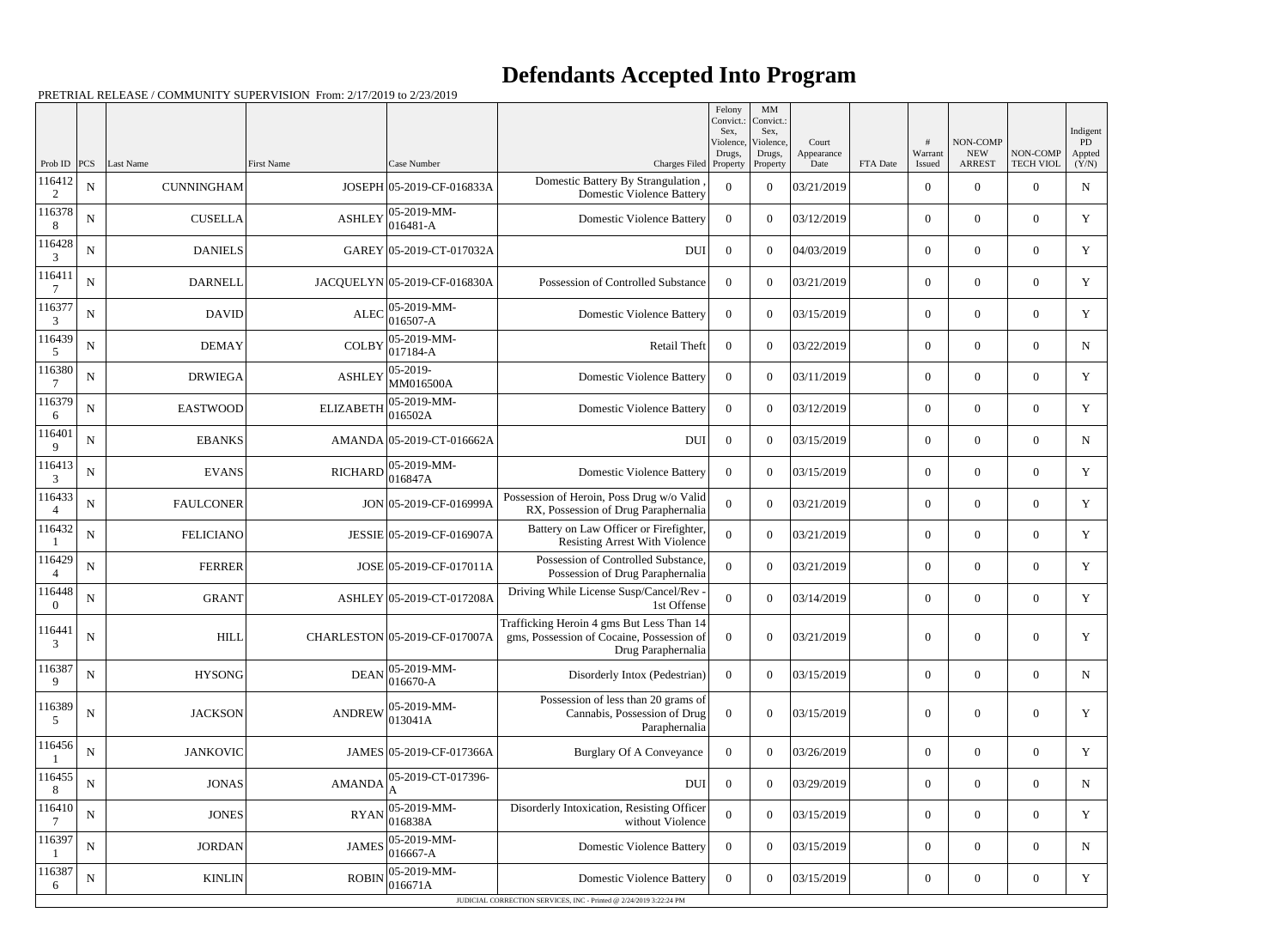## **Defendants Accepted Into Program**

| PCS <br><b>First Name</b><br>Case Number<br>Prob ID<br>Last Name<br>Charges Filed Property<br>Property<br>Date<br>FTA Date<br>Issued<br>116412<br>Domestic Battery By Strangulation<br>$\mathbf N$<br><b>CUNNINGHAM</b><br>JOSEPH 05-2019-CF-016833A<br>$\theta$<br>$\theta$<br>03/21/2019<br>$\theta$<br><b>Domestic Violence Battery</b><br>2<br>116378<br>05-2019-MM-<br><b>ASHLEY</b><br>$\mathbf N$<br><b>CUSELLA</b><br><b>Domestic Violence Battery</b><br>$\Omega$<br>03/12/2019<br>$\theta$<br>$\Omega$<br>$016481 - A$<br>8<br>116428<br>${\bf N}$<br><b>DANIELS</b><br><b>DUI</b><br>$\theta$<br>04/03/2019<br>$\theta$<br>GAREY 05-2019-CT-017032A<br>$\overline{0}$<br>3<br>116411<br>${\bf N}$<br><b>DARNELL</b><br>Possession of Controlled Substance<br>JACQUELYN 05-2019-CF-016830A<br>$\Omega$<br>03/21/2019<br>$\overline{0}$<br>$\Omega$<br>7<br>116377<br>05-2019-MM-<br>${\bf N}$<br><b>ALEC</b><br><b>DAVID</b><br><b>Domestic Violence Battery</b><br>$\overline{0}$<br>$\theta$<br>03/15/2019<br>$\theta$<br>016507-A<br>3 | <b>ARREST</b><br>$\Omega$<br>$\theta$<br>$\Omega$<br>$\overline{0}$<br>$\Omega$<br>$\theta$<br>$\Omega$ | <b>TECH VIOL</b><br>(Y/N)<br>${\bf N}$<br>$\Omega$<br>$\mathbf Y$<br>$\overline{0}$<br>$\Omega$<br>Y<br>Y<br>$\overline{0}$<br>Y<br>$\Omega$<br>${\bf N}$<br>$\overline{0}$ |
|-----------------------------------------------------------------------------------------------------------------------------------------------------------------------------------------------------------------------------------------------------------------------------------------------------------------------------------------------------------------------------------------------------------------------------------------------------------------------------------------------------------------------------------------------------------------------------------------------------------------------------------------------------------------------------------------------------------------------------------------------------------------------------------------------------------------------------------------------------------------------------------------------------------------------------------------------------------------------------------------------------------------------------------------------------|---------------------------------------------------------------------------------------------------------|-----------------------------------------------------------------------------------------------------------------------------------------------------------------------------|
|                                                                                                                                                                                                                                                                                                                                                                                                                                                                                                                                                                                                                                                                                                                                                                                                                                                                                                                                                                                                                                                     |                                                                                                         |                                                                                                                                                                             |
|                                                                                                                                                                                                                                                                                                                                                                                                                                                                                                                                                                                                                                                                                                                                                                                                                                                                                                                                                                                                                                                     |                                                                                                         |                                                                                                                                                                             |
|                                                                                                                                                                                                                                                                                                                                                                                                                                                                                                                                                                                                                                                                                                                                                                                                                                                                                                                                                                                                                                                     |                                                                                                         |                                                                                                                                                                             |
|                                                                                                                                                                                                                                                                                                                                                                                                                                                                                                                                                                                                                                                                                                                                                                                                                                                                                                                                                                                                                                                     |                                                                                                         |                                                                                                                                                                             |
|                                                                                                                                                                                                                                                                                                                                                                                                                                                                                                                                                                                                                                                                                                                                                                                                                                                                                                                                                                                                                                                     |                                                                                                         |                                                                                                                                                                             |
| 116439<br>05-2019-MM-<br><b>COLBY</b><br>${\bf N}$<br><b>DEMAY</b><br>Retail Theft<br>$\overline{0}$<br>$\Omega$<br>03/22/2019<br>$\overline{0}$<br>017184-A<br>5                                                                                                                                                                                                                                                                                                                                                                                                                                                                                                                                                                                                                                                                                                                                                                                                                                                                                   |                                                                                                         |                                                                                                                                                                             |
| 116380<br>05-2019-<br>$\mathbf N$<br><b>DRWIEGA</b><br><b>ASHLEY</b><br><b>Domestic Violence Battery</b><br>$\overline{0}$<br>$\theta$<br>03/11/2019<br>$\theta$<br>MM016500A<br>7                                                                                                                                                                                                                                                                                                                                                                                                                                                                                                                                                                                                                                                                                                                                                                                                                                                                  |                                                                                                         | $\Omega$<br>Y                                                                                                                                                               |
| 116379<br>05-2019-MM-<br>${\bf N}$<br><b>EASTWOOD</b><br><b>ELIZABETH</b><br><b>Domestic Violence Battery</b><br>$\theta$<br>$\Omega$<br>$\Omega$<br>03/12/2019<br>016502A<br>6                                                                                                                                                                                                                                                                                                                                                                                                                                                                                                                                                                                                                                                                                                                                                                                                                                                                     | $\overline{0}$                                                                                          | Y<br>$\overline{0}$                                                                                                                                                         |
| 116401<br>${\bf N}$<br><b>EBANKS</b><br><b>DUI</b><br>03/15/2019<br>AMANDA 05-2019-CT-016662A<br>$\overline{0}$<br>$\Omega$<br>$\theta$<br>9                                                                                                                                                                                                                                                                                                                                                                                                                                                                                                                                                                                                                                                                                                                                                                                                                                                                                                        | $\Omega$                                                                                                | $\mathbf N$<br>$\Omega$                                                                                                                                                     |
| 116413<br>$ 05-2019-MM-$<br><b>RICHARD</b><br>${\bf N}$<br><b>EVANS</b><br>$\Omega$<br>03/15/2019<br>$\theta$<br><b>Domestic Violence Battery</b><br>$\overline{0}$<br>016847A<br>3                                                                                                                                                                                                                                                                                                                                                                                                                                                                                                                                                                                                                                                                                                                                                                                                                                                                 | $\theta$                                                                                                | $\mathbf Y$<br>$\overline{0}$                                                                                                                                               |
| 116433<br>Possession of Heroin, Poss Drug w/o Valid<br>$\mathbf N$<br><b>FAULCONER</b><br>JON 05-2019-CF-016999A<br>$\theta$<br>$\theta$<br>03/21/2019<br>$\theta$<br>RX, Possession of Drug Paraphernalia                                                                                                                                                                                                                                                                                                                                                                                                                                                                                                                                                                                                                                                                                                                                                                                                                                          | $\theta$                                                                                                | $\theta$<br>Y                                                                                                                                                               |
| 116432<br>Battery on Law Officer or Firefighter,<br>$\mathbf N$<br><b>FELICIANO</b><br>JESSIE 05-2019-CF-016907A<br>$\Omega$<br>$\Omega$<br>03/21/2019<br>$\theta$<br><b>Resisting Arrest With Violence</b>                                                                                                                                                                                                                                                                                                                                                                                                                                                                                                                                                                                                                                                                                                                                                                                                                                         | $\overline{0}$                                                                                          | Y<br>$\overline{0}$                                                                                                                                                         |
| Possession of Controlled Substance,<br>116429<br>$\mathbf N$<br><b>FERRER</b><br>JOSE 05-2019-CF-017011A<br>03/21/2019<br>$\Omega$<br>$\Omega$<br>$\theta$<br>Possession of Drug Paraphernalia                                                                                                                                                                                                                                                                                                                                                                                                                                                                                                                                                                                                                                                                                                                                                                                                                                                      | $\Omega$                                                                                                | $\mathbf Y$<br>$\theta$                                                                                                                                                     |
| 116448<br>Driving While License Susp/Cancel/Rev -<br>${\bf N}$<br><b>GRANT</b><br>ASHLEY 05-2019-CT-017208A<br>$\Omega$<br>$\overline{0}$<br>$\theta$<br>03/14/2019<br>1st Offense<br>$\Omega$                                                                                                                                                                                                                                                                                                                                                                                                                                                                                                                                                                                                                                                                                                                                                                                                                                                      | $\overline{0}$                                                                                          | $\mathbf Y$<br>$\overline{0}$                                                                                                                                               |
| Trafficking Heroin 4 gms But Less Than 14<br>116441<br>${\bf N}$<br><b>HILL</b><br>gms, Possession of Cocaine, Possession of<br>$\boldsymbol{0}$<br>$\overline{0}$<br>03/21/2019<br>CHARLESTON 05-2019-CF-017007A<br>$\mathbf{0}$<br>3<br>Drug Paraphernalia                                                                                                                                                                                                                                                                                                                                                                                                                                                                                                                                                                                                                                                                                                                                                                                        | $\boldsymbol{0}$                                                                                        | $\mathbf{0}$<br>Y                                                                                                                                                           |
| 116387<br>$DEAN$ $05-2019-MM$<br>${\bf N}$<br><b>HYSONG</b><br>Disorderly Intox (Pedestrian)<br>$\theta$<br>03/15/2019<br>$\overline{0}$<br>$\overline{0}$<br>016670-A<br>9                                                                                                                                                                                                                                                                                                                                                                                                                                                                                                                                                                                                                                                                                                                                                                                                                                                                         | $\overline{0}$                                                                                          | ${\bf N}$<br>$\overline{0}$                                                                                                                                                 |
| Possession of less than 20 grams of<br>116389<br>05-2019-MM-<br><b>ANDREW</b><br>${\bf N}$<br><b>JACKSON</b><br>Cannabis, Possession of Drug<br>$\boldsymbol{0}$<br>03/15/2019<br>$\boldsymbol{0}$<br>$\mathbf{0}$<br>013041A<br>5<br>Paraphernalia                                                                                                                                                                                                                                                                                                                                                                                                                                                                                                                                                                                                                                                                                                                                                                                                 | $\overline{0}$                                                                                          | Y<br>$\boldsymbol{0}$                                                                                                                                                       |
| 116456<br><b>JANKOVIC</b><br>${\bf N}$<br>JAMES 05-2019-CF-017366A<br><b>Burglary Of A Conveyance</b><br>03/26/2019<br>$\overline{0}$<br>$\overline{0}$<br>$\overline{0}$                                                                                                                                                                                                                                                                                                                                                                                                                                                                                                                                                                                                                                                                                                                                                                                                                                                                           | $\overline{0}$                                                                                          | $\overline{0}$<br>Y                                                                                                                                                         |
| 116455<br>05-2019-CT-017396-<br>${\bf N}$<br>JONAS<br><b>AMANDA</b><br><b>DUI</b><br>$\overline{0}$<br>$\overline{0}$<br>03/29/2019<br>$\overline{0}$<br>8                                                                                                                                                                                                                                                                                                                                                                                                                                                                                                                                                                                                                                                                                                                                                                                                                                                                                          | $\overline{0}$                                                                                          | $\overline{0}$<br>$\mathbf N$                                                                                                                                               |
| 116410<br>05-2019-MM-<br>Disorderly Intoxication, Resisting Officer<br><b>RYAN</b><br>$\mathbf N$<br><b>JONES</b><br>$\boldsymbol{0}$<br>03/15/2019<br>$\theta$<br>$\boldsymbol{0}$<br>016838A<br>without Violence                                                                                                                                                                                                                                                                                                                                                                                                                                                                                                                                                                                                                                                                                                                                                                                                                                  | $\overline{0}$                                                                                          | $\boldsymbol{0}$<br>Y                                                                                                                                                       |
| 116397<br>05-2019-MM-<br>${\bf N}$<br><b>JORDAN</b><br><b>Domestic Violence Battery</b><br><b>JAMES</b><br>$\boldsymbol{0}$<br>$\boldsymbol{0}$<br>03/15/2019<br>$\boldsymbol{0}$<br>016667-A                                                                                                                                                                                                                                                                                                                                                                                                                                                                                                                                                                                                                                                                                                                                                                                                                                                       | $\overline{0}$                                                                                          | $\boldsymbol{0}$<br>$\mathbf N$                                                                                                                                             |
| 116387<br>05-2019-MM-<br><b>ROBIN</b><br>${\bf N}$<br><b>KINLIN</b><br><b>Domestic Violence Battery</b><br>$\overline{0}$<br>$\overline{0}$<br>03/15/2019<br>$\boldsymbol{0}$<br>016671A<br>6<br>JUDICIAL CORRECTION SERVICES, INC - Printed @ 2/24/2019 3:22:24 PM                                                                                                                                                                                                                                                                                                                                                                                                                                                                                                                                                                                                                                                                                                                                                                                 | $\overline{0}$                                                                                          | Y<br>$\boldsymbol{0}$                                                                                                                                                       |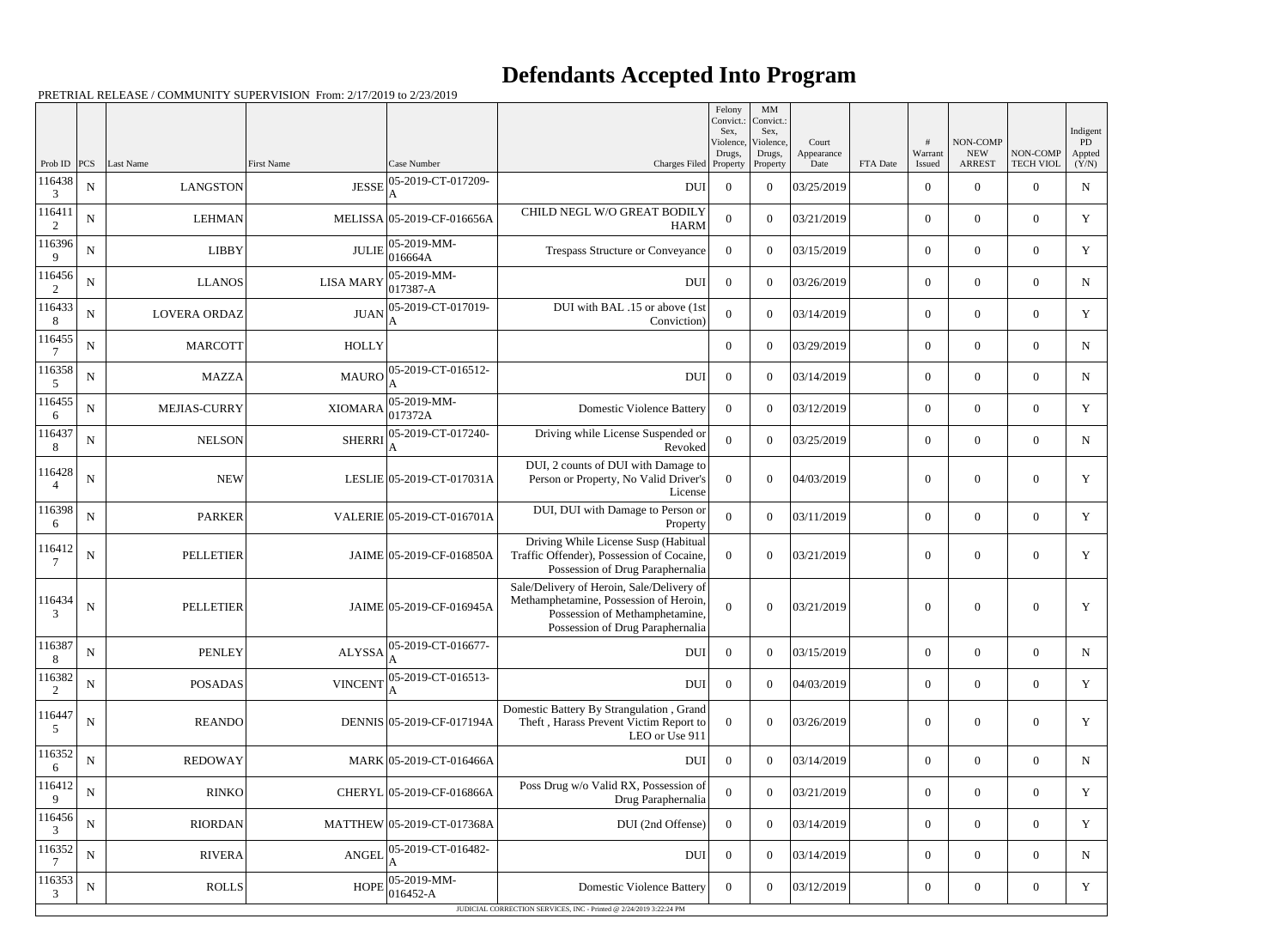## **Defendants Accepted Into Program**

|                 |             |                     |                  |                            |                                                                                                                                                           | Felony<br>Convict.:<br>Sex, | $\mathbf{M}\mathbf{M}$<br>Convict.:<br>Sex, |                             |          |                   |                                         |                              | Indigent              |
|-----------------|-------------|---------------------|------------------|----------------------------|-----------------------------------------------------------------------------------------------------------------------------------------------------------|-----------------------------|---------------------------------------------|-----------------------------|----------|-------------------|-----------------------------------------|------------------------------|-----------------------|
| Prob ID $ PCS $ |             | Last Name           | First Name       | Case Number                | Charges Filed Property                                                                                                                                    | Violence,<br>Drugs,         | Violence,<br>Drugs,<br>Property             | Court<br>Appearance<br>Date | FTA Date | Warrant<br>Issued | NON-COMP<br><b>NEW</b><br><b>ARREST</b> | NON-COMP<br><b>TECH VIOL</b> | PD<br>Appted<br>(Y/N) |
| 116438<br>3     | ${\bf N}$   | <b>LANGSTON</b>     | <b>JESSE</b>     | 05-2019-CT-017209-         | <b>DUI</b>                                                                                                                                                | $\overline{0}$              | $\overline{0}$                              | 03/25/2019                  |          | $\overline{0}$    | $\theta$                                | $\Omega$                     | ${\bf N}$             |
| 116411<br>2     | ${\bf N}$   | <b>LEHMAN</b>       |                  | MELISSA 05-2019-CF-016656A | CHILD NEGL W/O GREAT BODILY<br><b>HARM</b>                                                                                                                | $\overline{0}$              | $\theta$                                    | 03/21/2019                  |          | $\overline{0}$    | $\overline{0}$                          | $\overline{0}$               | Y                     |
| 116396<br>9     | ${\bf N}$   | <b>LIBBY</b>        | <b>JULIE</b>     | 05-2019-MM-<br>016664A     | Trespass Structure or Conveyance                                                                                                                          | $\overline{0}$              | $\theta$                                    | 03/15/2019                  |          | $\overline{0}$    | $\Omega$                                | $\theta$                     | Y                     |
| 116456<br>2     | ${\bf N}$   | LLANOS              | <b>LISA MARY</b> | 05-2019-MM-<br>017387-A    | <b>DUI</b>                                                                                                                                                | $\overline{0}$              | $\theta$                                    | 03/26/2019                  |          | $\overline{0}$    | $\overline{0}$                          | $\overline{0}$               | N                     |
| 116433<br>8     | ${\bf N}$   | <b>LOVERA ORDAZ</b> | <b>JUAN</b>      | 05-2019-CT-017019-         | DUI with BAL .15 or above (1st<br>Conviction)                                                                                                             | $\theta$                    | $\theta$                                    | 03/14/2019                  |          | $\overline{0}$    | $\Omega$                                | $\theta$                     | Y                     |
| 116455          | ${\bf N}$   | <b>MARCOTT</b>      | <b>HOLLY</b>     |                            |                                                                                                                                                           | $\overline{0}$              | $\theta$                                    | 03/29/2019                  |          | $\overline{0}$    | $\overline{0}$                          | $\overline{0}$               | N                     |
| 116358<br>5     | ${\bf N}$   | <b>MAZZA</b>        | <b>MAURO</b>     | 05-2019-CT-016512-         | <b>DUI</b>                                                                                                                                                | $\overline{0}$              | $\theta$                                    | 03/14/2019                  |          | $\overline{0}$    | $\Omega$                                | $\theta$                     | $\mathbf N$           |
| 116455<br>6     | ${\bf N}$   | MEJIAS-CURRY        | <b>XIOMARA</b>   | 05-2019-MM-<br>017372A     | <b>Domestic Violence Battery</b>                                                                                                                          | $\Omega$                    | $\theta$                                    | 03/12/2019                  |          | $\overline{0}$    | $\overline{0}$                          | $\overline{0}$               | Y                     |
| 116437<br>8     | $\mathbf N$ | <b>NELSON</b>       | <b>SHERRI</b>    | 05-2019-CT-017240-         | Driving while License Suspended or<br>Revoked                                                                                                             | $\theta$                    | $\theta$                                    | 03/25/2019                  |          | $\overline{0}$    | $\Omega$                                | $\theta$                     | N                     |
| 116428<br>4     | ${\bf N}$   | <b>NEW</b>          |                  | LESLIE 05-2019-CT-017031A  | DUI, 2 counts of DUI with Damage to<br>Person or Property, No Valid Driver's<br>License                                                                   | $\theta$                    | $\theta$                                    | 04/03/2019                  |          | $\overline{0}$    | $\overline{0}$                          | $\theta$                     | Y                     |
| 116398<br>6     | ${\bf N}$   | <b>PARKER</b>       |                  | VALERIE 05-2019-CT-016701A | DUI, DUI with Damage to Person or<br>Property                                                                                                             | $\overline{0}$              | $\theta$                                    | 03/11/2019                  |          | $\overline{0}$    | $\overline{0}$                          | $\overline{0}$               | Y                     |
| 116412          | ${\bf N}$   | <b>PELLETIER</b>    |                  | JAIME 05-2019-CF-016850A   | Driving While License Susp (Habitual<br>Traffic Offender), Possession of Cocaine,<br>Possession of Drug Paraphernalia                                     | $\Omega$                    | $\theta$                                    | 03/21/2019                  |          | $\overline{0}$    | $\overline{0}$                          | $\overline{0}$               | Y                     |
| 116434<br>3     | ${\bf N}$   | <b>PELLETIER</b>    |                  | JAIME 05-2019-CF-016945A   | Sale/Delivery of Heroin, Sale/Delivery of<br>Methamphetamine, Possession of Heroin,<br>Possession of Methamphetamine,<br>Possession of Drug Paraphernalia | $\Omega$                    | $\boldsymbol{0}$                            | 03/21/2019                  |          | $\mathbf{0}$      | $\overline{0}$                          | $\boldsymbol{0}$             | Y                     |
| 116387<br>8     | ${\bf N}$   | <b>PENLEY</b>       | <b>ALYSSA</b>    | 05-2019-CT-016677-         | <b>DUI</b>                                                                                                                                                | $\overline{0}$              | $\boldsymbol{0}$                            | 03/15/2019                  |          | $\boldsymbol{0}$  | $\overline{0}$                          | $\overline{0}$               | N                     |
| 116382<br>2     | ${\bf N}$   | POSADAS             | <b>VINCENT</b>   | 05-2019-CT-016513-         | <b>DUI</b>                                                                                                                                                | $\overline{0}$              | $\theta$                                    | 04/03/2019                  |          | $\overline{0}$    | $\overline{0}$                          | $\overline{0}$               | Y                     |
| 116447<br>5     | ${\bf N}$   | <b>REANDO</b>       |                  | DENNIS 05-2019-CF-017194A  | Domestic Battery By Strangulation, Grand<br>Theft, Harass Prevent Victim Report to<br>LEO or Use 911                                                      | $\theta$                    | $\boldsymbol{0}$                            | 03/26/2019                  |          | $\overline{0}$    | $\mathbf{0}$                            | $\mathbf{0}$                 | Y                     |
| 116352<br>6     | ${\bf N}$   | <b>REDOWAY</b>      |                  | MARK 05-2019-CT-016466A    | <b>DUI</b>                                                                                                                                                | $\overline{0}$              | $\theta$                                    | 03/14/2019                  |          | $\overline{0}$    | $\overline{0}$                          | $\overline{0}$               | $\mathbf N$           |
| 116412<br>9     | ${\bf N}$   | <b>RINKO</b>        |                  | CHERYL 05-2019-CF-016866A  | Poss Drug w/o Valid RX, Possession of<br>Drug Paraphernalia                                                                                               | $\theta$                    | $\boldsymbol{0}$                            | 03/21/2019                  |          | $\boldsymbol{0}$  | $\overline{0}$                          | $\overline{0}$               | Y                     |
| 116456<br>3     | ${\bf N}$   | <b>RIORDAN</b>      |                  | MATTHEW 05-2019-CT-017368A | DUI (2nd Offense)                                                                                                                                         | $\Omega$                    | $\theta$                                    | 03/14/2019                  |          | $\overline{0}$    | $\overline{0}$                          | $\overline{0}$               | Y                     |
| 116352<br>7     | ${\bf N}$   | <b>RIVERA</b>       | <b>ANGEI</b>     | 05-2019-CT-016482-         | <b>DUI</b>                                                                                                                                                | $\overline{0}$              | $\theta$                                    | 03/14/2019                  |          | $\boldsymbol{0}$  | $\overline{0}$                          | $\overline{0}$               | $\mathbf N$           |
| 116353<br>3     | ${\bf N}$   | ROLLS               | <b>HOPE</b>      | 05-2019-MM-<br>016452-A    | <b>Domestic Violence Battery</b>                                                                                                                          | $\overline{0}$              | $\overline{0}$                              | 03/12/2019                  |          | $\boldsymbol{0}$  | $\overline{0}$                          | $\overline{0}$               | $\mathbf Y$           |
|                 |             |                     |                  |                            | JUDICIAL CORRECTION SERVICES, INC - Printed @ 2/24/2019 3:22:24 PM                                                                                        |                             |                                             |                             |          |                   |                                         |                              |                       |